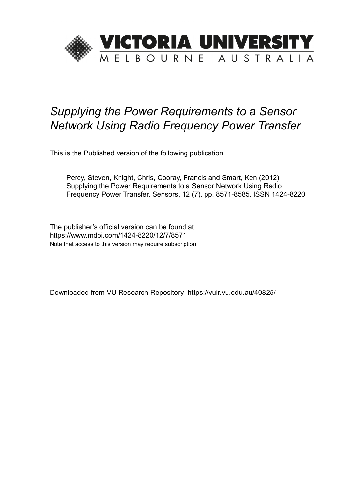

# *Supplying the Power Requirements to a Sensor Network Using Radio Frequency Power Transfer*

This is the Published version of the following publication

Percy, Steven, Knight, Chris, Cooray, Francis and Smart, Ken (2012) Supplying the Power Requirements to a Sensor Network Using Radio Frequency Power Transfer. Sensors, 12 (7). pp. 8571-8585. ISSN 1424-8220

The publisher's official version can be found at https://www.mdpi.com/1424-8220/12/7/8571 Note that access to this version may require subscription.

Downloaded from VU Research Repository https://vuir.vu.edu.au/40825/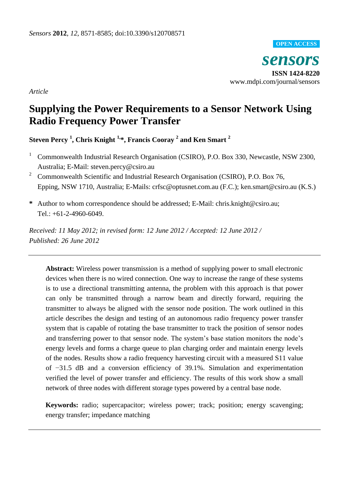## **OPEN ACCESS**

*sensors* **ISSN 1424-8220** www.mdpi.com/journal/sensors

*Article*

## **Supplying the Power Requirements to a Sensor Network Using Radio Frequency Power Transfer**

**Steven Percy <sup>1</sup> , Chris Knight 1, \*, Francis Cooray <sup>2</sup> and Ken Smart <sup>2</sup>**

- <sup>1</sup> Commonwealth Industrial Research Organisation (CSIRO), P.O. Box 330, Newcastle, NSW 2300, Australia; E-Mail: steven.percy@csiro.au
- <sup>2</sup> Commonwealth Scientific and Industrial Research Organisation (CSIRO), P.O. Box 76, Epping, NSW 1710, Australia; E-Mails: crfsc@optusnet.com.au (F.C.); ken.smart@csiro.au (K.S.)
- **\*** Author to whom correspondence should be addressed; E-Mail: chris.knight@csiro.au; Tel.: +61-2-4960-6049.

*Received: 11 May 2012; in revised form: 12 June 2012 / Accepted: 12 June 2012 / Published: 26 June 2012*

**Abstract:** Wireless power transmission is a method of supplying power to small electronic devices when there is no wired connection. One way to increase the range of these systems is to use a directional transmitting antenna, the problem with this approach is that power can only be transmitted through a narrow beam and directly forward, requiring the transmitter to always be aligned with the sensor node position. The work outlined in this article describes the design and testing of an autonomous radio frequency power transfer system that is capable of rotating the base transmitter to track the position of sensor nodes and transferring power to that sensor node. The system's base station monitors the node's energy levels and forms a charge queue to plan charging order and maintain energy levels of the nodes. Results show a radio frequency harvesting circuit with a measured S11 value of −31.5 dB and a conversion efficiency of 39.1%. Simulation and experimentation verified the level of power transfer and efficiency. The results of this work show a small network of three nodes with different storage types powered by a central base node.

**Keywords:** radio; supercapacitor; wireless power; track; position; energy scavenging; energy transfer; impedance matching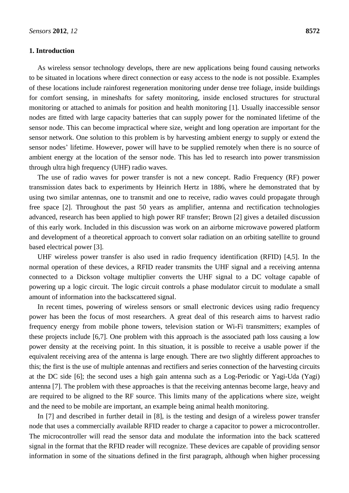## **1. Introduction**

As wireless sensor technology develops, there are new applications being found causing networks to be situated in locations where direct connection or easy access to the node is not possible. Examples of these locations include rainforest regeneration monitoring under dense tree foliage, inside buildings for comfort sensing, in mineshafts for safety monitoring, inside enclosed structures for structural monitoring or attached to animals for position and health monitoring [\[1\]](#page-15-0). Usually inaccessible sensor nodes are fitted with large capacity batteries that can supply power for the nominated lifetime of the sensor node. This can become impractical where size, weight and long operation are important for the sensor network. One solution to this problem is by harvesting ambient energy to supply or extend the sensor nodes' lifetime. However, power will have to be supplied remotely when there is no source of ambient energy at the location of the sensor node. This has led to research into power transmission through ultra high frequency (UHF) radio waves.

The use of radio waves for power transfer is not a new concept. Radio Frequency (RF) power transmission dates back to experiments by Heinrich Hertz in 1886, where he demonstrated that by using two similar antennas, one to transmit and one to receive, radio waves could propagate through free space [\[2\]](#page-15-1). Throughout the past 50 years as amplifier, antenna and rectification technologies advanced, research has been applied to high power RF transfer; Brown [\[2\]](#page-15-1) gives a detailed discussion of this early work. Included in this discussion was work on an airborne microwave powered platform and development of a theoretical approach to convert solar radiation on an orbiting satellite to ground based electrical power [\[3\]](#page-15-2).

UHF wireless power transfer is also used in radio frequency identification (RFID) [\[4,](#page-15-3)[5\]](#page-15-4). In the normal operation of these devices, a RFID reader transmits the UHF signal and a receiving antenna connected to a Dickson voltage multiplier converts the UHF signal to a DC voltage capable of powering up a logic circuit. The logic circuit controls a phase modulator circuit to modulate a small amount of information into the backscattered signal.

In recent times, powering of wireless sensors or small electronic devices using radio frequency power has been the focus of most researchers. A great deal of this research aims to harvest radio frequency energy from mobile phone towers, television station or Wi-Fi transmitters; examples of these projects include [\[6,](#page-15-5)[7\]](#page-15-6). One problem with this approach is the associated path loss causing a low power density at the receiving point. In this situation, it is possible to receive a usable power if the equivalent receiving area of the antenna is large enough. There are two slightly different approaches to this; the first is the use of multiple antennas and rectifiers and series connection of the harvesting circuits at the DC side [\[6\]](#page-15-5); the second uses a high gain antenna such as a Log-Periodic or Yagi-Uda (Yagi) antenna [\[7\]](#page-15-6). The problem with these approaches is that the receiving antennas become large, heavy and are required to be aligned to the RF source. This limits many of the applications where size, weight and the need to be mobile are important, an example being animal health monitoring.

In [\[7\]](#page-15-6) and described in further detail in [\[8\]](#page-15-7), is the testing and design of a wireless power transfer node that uses a commercially available RFID reader to charge a capacitor to power a microcontroller. The microcontroller will read the sensor data and modulate the information into the back scattered signal in the format that the RFID reader will recognize. These devices are capable of providing sensor information in some of the situations defined in the first paragraph, although when higher processing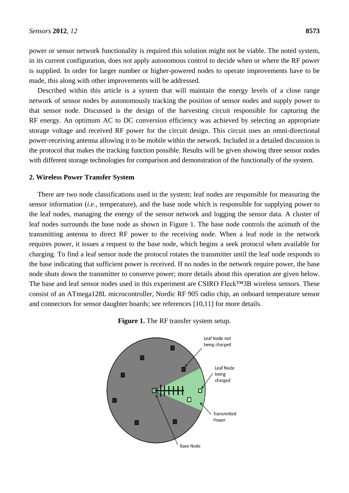power or sensor network functionality is required this solution might not be viable. The noted system, in its current configuration, does not apply autonomous control to decide when or where the RF power is supplied. In order for larger number or higher-powered nodes to operate improvements have to be made, this along with other improvements will be addressed.

Described within this article is a system that will maintain the energy levels of a close range network of sensor nodes by autonomously tracking the position of sensor nodes and supply power to that sensor node. Discussed is the design of the harvesting circuit responsible for capturing the RF energy. An optimum AC to DC conversion efficiency was achieved by selecting an appropriate storage voltage and received RF power for the circuit design. This circuit uses an omni-directional power-receiving antenna allowing it to be mobile within the network. Included in a detailed discussion is the protocol that makes the tracking function possible. Results will be given showing three sensor nodes with different storage technologies for comparison and demonstration of the functionally of the system.

## **2. Wireless Power Transfer System**

There are two node classifications used in the system; leaf nodes are responsible for measuring the sensor information (*i.e.*, temperature), and the base node which is responsible for supplying power to the leaf nodes, managing the energy of the sensor network and logging the sensor data. A cluster of leaf nodes surrounds the base node as shown in Figure 1. The base node controls the azimuth of the transmitting antenna to direct RF power to the receiving node. When a leaf node in the network requires power, it issues a request to the base node, which begins a seek protocol when available for charging. To find a leaf sensor node the protocol rotates the transmitter until the leaf node responds to the base indicating that sufficient power is received. If no nodes in the network require power, the base node shuts down the transmitter to conserve power; more details about this operation are given below. The base and leaf sensor nodes used in this experiment are CSIRO Fleck™3B wireless sensors. These consist of an ATmega128L microcontroller, Nordic RF 905 radio chip, an onboard temperature sensor and connectors for sensor daughter boards; see references [\[10](#page-15-8)[,11\]](#page-15-9) for more details.



**Figure 1.** The RF transfer system setup.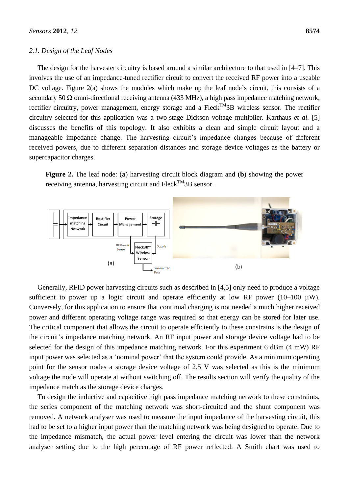## *2.1. Design of the Leaf Nodes*

The design for the harvester circuitry is based around a similar architecture to that used in [\[4–](#page-15-3)[7\]](#page-15-6). This involves the use of an impedance-tuned rectifier circuit to convert the received RF power into a useable DC voltage. Figure 2(a) shows the modules which make up the leaf node's circuit, this consists of a secondary 50  $\Omega$  omni-directional receiving antenna (433 MHz), a high pass impedance matching network, rectifier circuitry, power management, energy storage and a Fleck<sup>TM</sup>3B wireless sensor. The rectifier circuitry selected for this application was a two-stage Dickson voltage multiplier. Karthaus *et al*. [\[5\]](#page-15-4) discusses the benefits of this topology. It also exhibits a clean and simple circuit layout and a manageable impedance change. The harvesting circuit's impedance changes because of different received powers, due to different separation distances and storage device voltages as the battery or supercapacitor charges.

**Figure 2.** The leaf node: (**a**) harvesting circuit block diagram and (**b**) showing the power receiving antenna, harvesting circuit and  $Fleck^{TM}3B$  sensor.



Generally, RFID power harvesting circuits such as described in [\[4](#page-15-3)[,5\]](#page-15-4) only need to produce a voltage sufficient to power up a logic circuit and operate efficiently at low RF power (10–100  $\mu$ W). Conversely, for this application to ensure that continual charging is not needed a much higher received power and different operating voltage range was required so that energy can be stored for later use. The critical component that allows the circuit to operate efficiently to these constrains is the design of the circuit's impedance matching network. An RF input power and storage device voltage had to be selected for the design of this impedance matching network. For this experiment 6 dBm (4 mW) RF input power was selected as a 'nominal power' that the system could provide. As a minimum operating point for the sensor nodes a storage device voltage of 2.5 V was selected as this is the minimum voltage the node will operate at without switching off. The results section will verify the quality of the impedance match as the storage device charges.

To design the inductive and capacitive high pass impedance matching network to these constraints, the series component of the matching network was short-circuited and the shunt component was removed. A network analyser was used to measure the input impedance of the harvesting circuit, this had to be set to a higher input power than the matching network was being designed to operate. Due to the impedance mismatch, the actual power level entering the circuit was lower than the network analyser setting due to the high percentage of RF power reflected. A Smith chart was used to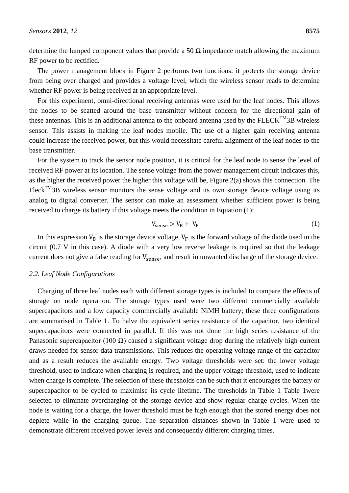determine the lumped component values that provide a 50  $\Omega$  impedance match allowing the maximum RF power to be rectified.

The power management block in Figure 2 performs two functions: it protects the storage device from being over charged and provides a voltage level, which the wireless sensor reads to determine whether RF power is being received at an appropriate level.

For this experiment, omni-directional receiving antennas were used for the leaf nodes. This allows the nodes to be scatted around the base transmitter without concern for the directional gain of these antennas. This is an additional antenna to the onboard antenna used by the  $FLECK^{TM}3B$  wireless sensor. This assists in making the leaf nodes mobile. The use of a higher gain receiving antenna could increase the received power, but this would necessitate careful alignment of the leaf nodes to the base transmitter.

For the system to track the sensor node position, it is critical for the leaf node to sense the level of received RF power at its location. The sense voltage from the power management circuit indicates this, as the higher the received power the higher this voltage will be, Figure 2(a) shows this connection. The  $Fleck^{TM}3B$  wireless sensor monitors the sense voltage and its own storage device voltage using its analog to digital converter. The sensor can make an assessment whether sufficient power is being received to charge its battery if this voltage meets the condition in Equation (1):

$$
V_{\text{sense}} > V_{\text{B}} + V_{\text{F}} \tag{1}
$$

In this expression  $V_B$  is the storage device voltage,  $V_F$  is the forward voltage of the diode used in the circuit (0.7 V in this case). A diode with a very low reverse leakage is required so that the leakage current does not give a false reading for  $V_{\text{sense}}$ , and result in unwanted discharge of the storage device.

## *2.2. Leaf Node Configurations*

Charging of three leaf nodes each with different storage types is included to compare the effects of storage on node operation. The storage types used were two different commercially available supercapacitors and a low capacity commercially available NiMH battery; these three configurations are summarised in Table 1. To halve the equivalent series resistance of the capacitor, two identical supercapacitors were connected in parallel. If this was not done the high series resistance of the Panasonic supercapacitor (100  $\Omega$ ) caused a significant voltage drop during the relatively high current draws needed for sensor data transmissions. This reduces the operating voltage range of the capacitor and as a result reduces the available energy. Two voltage thresholds were set: the lower voltage threshold, used to indicate when charging is required, and the upper voltage threshold, used to indicate when charge is complete. The selection of these thresholds can be such that it encourages the battery or supercapacitor to be cycled to maximise its cycle lifetime. The thresholds in Table 1 Table 1were selected to eliminate overcharging of the storage device and show regular charge cycles. When the node is waiting for a charge, the lower threshold must be high enough that the stored energy does not deplete while in the charging queue. The separation distances shown in Table 1 were used to demonstrate different received power levels and consequently different charging times.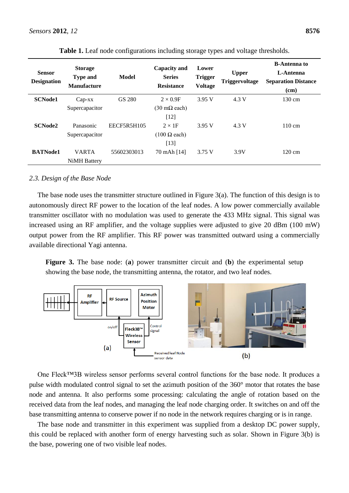| <b>Sensor</b><br><b>Designation</b> | <b>Storage</b><br><b>Type and</b><br><b>Manufacture</b> | Model       | <b>Capacity and</b><br><b>Series</b><br><b>Resistance</b> | Lower<br><b>Trigger</b><br><b>Voltage</b> | <b>Upper</b><br><b>Triggervoltage</b> | <b>B-Antenna to</b><br>L-Antenna<br><b>Separation Distance</b><br>(cm) |
|-------------------------------------|---------------------------------------------------------|-------------|-----------------------------------------------------------|-------------------------------------------|---------------------------------------|------------------------------------------------------------------------|
| <b>SCNode1</b>                      | $Cap$ - $xx$                                            | GS 280      | $2 \times 0.9F$                                           | 3.95V                                     | 4.3 V                                 | 130 cm                                                                 |
|                                     | Supercapacitor                                          |             | $(30 \text{ m}\Omega \text{ each})$                       |                                           |                                       |                                                                        |
|                                     |                                                         |             | [12]                                                      |                                           |                                       |                                                                        |
| <b>SCNode2</b>                      | Panasonic                                               | EECF5R5H105 | $2 \times 1$ F                                            | 3.95 V                                    | 4.3 V                                 | $110 \text{ cm}$                                                       |
|                                     | Supercapacitor                                          |             | $(100 \Omega$ each)                                       |                                           |                                       |                                                                        |
|                                     |                                                         |             | $[13]$                                                    |                                           |                                       |                                                                        |
| <b>BATNode1</b>                     | <b>VARTA</b>                                            | 55602303013 | 70 mAh [14]                                               | 3.75 V                                    | 3.9V                                  | $120 \text{ cm}$                                                       |
|                                     | <b>NiMH</b> Battery                                     |             |                                                           |                                           |                                       |                                                                        |

**Table 1.** Leaf node configurations including storage types and voltage thresholds.

## *2.3. Design of the Base Node*

The base node uses the transmitter structure outlined in Figure 3(a). The function of this design is to autonomously direct RF power to the location of the leaf nodes. A low power commercially available transmitter oscillator with no modulation was used to generate the 433 MHz signal. This signal was increased using an RF amplifier, and the voltage supplies were adjusted to give 20 dBm (100 mW) output power from the RF amplifier. This RF power was transmitted outward using a commercially available directional Yagi antenna.

**Figure 3.** The base node: (**a**) power transmitter circuit and (**b**) the experimental setup showing the base node, the transmitting antenna, the rotator, and two leaf nodes.



One Fleck™3B wireless sensor performs several control functions for the base node. It produces a pulse width modulated control signal to set the azimuth position of the 360° motor that rotates the base node and antenna. It also performs some processing: calculating the angle of rotation based on the received data from the leaf nodes, and managing the leaf node charging order. It switches on and off the base transmitting antenna to conserve power if no node in the network requires charging or is in range.

The base node and transmitter in this experiment was supplied from a desktop DC power supply, this could be replaced with another form of energy harvesting such as solar. Shown in Figure 3(b) is the base, powering one of two visible leaf nodes.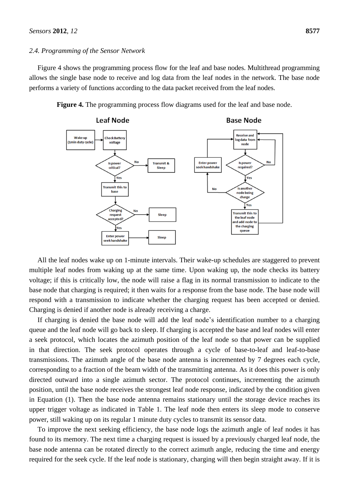#### *2.4. Programming of the Sensor Network*

Figure 4 shows the programming process flow for the leaf and base nodes. Multithread programming allows the single base node to receive and log data from the leaf nodes in the network. The base node performs a variety of functions according to the data packet received from the leaf nodes.





All the leaf nodes wake up on 1-minute intervals. Their wake-up schedules are staggered to prevent multiple leaf nodes from waking up at the same time. Upon waking up, the node checks its battery voltage; if this is critically low, the node will raise a flag in its normal transmission to indicate to the base node that charging is required; it then waits for a response from the base node. The base node will respond with a transmission to indicate whether the charging request has been accepted or denied. Charging is denied if another node is already receiving a charge.

If charging is denied the base node will add the leaf node's identification number to a charging queue and the leaf node will go back to sleep. If charging is accepted the base and leaf nodes will enter a seek protocol, which locates the azimuth position of the leaf node so that power can be supplied in that direction. The seek protocol operates through a cycle of base-to-leaf and leaf-to-base transmissions. The azimuth angle of the base node antenna is incremented by 7 degrees each cycle, corresponding to a fraction of the beam width of the transmitting antenna. As it does this power is only directed outward into a single azimuth sector. The protocol continues, incrementing the azimuth position, until the base node receives the strongest leaf node response, indicated by the condition given in Equation (1). Then the base node antenna remains stationary until the storage device reaches its upper trigger voltage as indicated in Table 1. The leaf node then enters its sleep mode to conserve power, still waking up on its regular 1 minute duty cycles to transmit its sensor data.

To improve the next seeking efficiency, the base node logs the azimuth angle of leaf nodes it has found to its memory. The next time a charging request is issued by a previously charged leaf node, the base node antenna can be rotated directly to the correct azimuth angle, reducing the time and energy required for the seek cycle. If the leaf node is stationary, charging will then begin straight away. If it is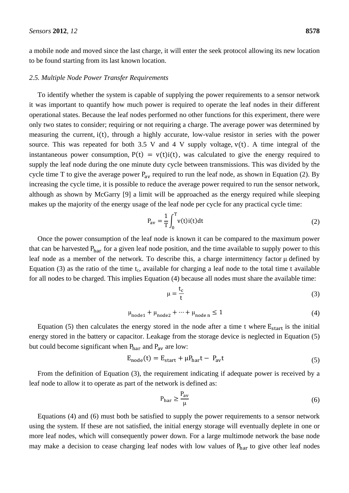a mobile node and moved since the last charge, it will enter the seek protocol allowing its new location to be found starting from its last known location.

#### *2.5. Multiple Node Power Transfer Requirements*

To identify whether the system is capable of supplying the power requirements to a sensor network it was important to quantify how much power is required to operate the leaf nodes in their different operational states. Because the leaf nodes performed no other functions for this experiment, there were only two states to consider; requiring or not requiring a charge. The average power was determined by measuring the current,  $i(t)$ , through a highly accurate, low-value resistor in series with the power source. This was repeated for both 3.5 V and 4 V supply voltage,  $v(t)$ . A time integral of the instantaneous power consumption,  $P(t) = v(t)i(t)$ , was calculated to give the energy required to supply the leaf node during the one minute duty cycle between transmissions. This was divided by the cycle time T to give the average power  $P_{av}$  required to run the leaf node, as shown in Equation (2). By increasing the cycle time, it is possible to reduce the average power required to run the sensor network, although as shown by McGarry [\[9\]](#page-15-13) a limit will be approached as the energy required while sleeping makes up the majority of the energy usage of the leaf node per cycle for any practical cycle time:

$$
P_{av} = \frac{1}{T} \int_0^T v(t)i(t)dt
$$
 (2)

Once the power consumption of the leaf node is known it can be compared to the maximum power that can be harvested  $P_{\text{har}}$  for a given leaf node position, and the time available to supply power to this leaf node as a member of the network. To describe this, a charge intermittency factor  $\mu$  defined by Equation (3) as the ratio of the time  $t_c$ , available for charging a leaf node to the total time t available for all nodes to be charged. This implies Equation (4) because all nodes must share the available time:

$$
\mu = \frac{t_c}{t}
$$
 (3)

$$
\mu_{\text{node1}} + \mu_{\text{node2}} + \dots + \mu_{\text{node n}} \le 1 \tag{4}
$$

Equation (5) then calculates the energy stored in the node after a time t where  $E_{start}$  is the initial energy stored in the battery or capacitor. Leakage from the storage device is neglected in Equation (5) but could become significant when  $P_{\text{har}}$  and  $P_{\text{av}}$  are low:

$$
E_{\text{node}}(t) = E_{\text{start}} + \mu P_{\text{har}}t - P_{\text{av}}t \tag{5}
$$

From the definition of Equation (3), the requirement indicating if adequate power is received by a leaf node to allow it to operate as part of the network is defined as:

$$
P_{har} \ge \frac{P_{av}}{\mu} \tag{6}
$$

Equations (4) and (6) must both be satisfied to supply the power requirements to a sensor network using the system. If these are not satisfied, the initial energy storage will eventually deplete in one or more leaf nodes, which will consequently power down. For a large multimode network the base node may make a decision to cease charging leaf nodes with low values of  $P<sub>har</sub>$  to give other leaf nodes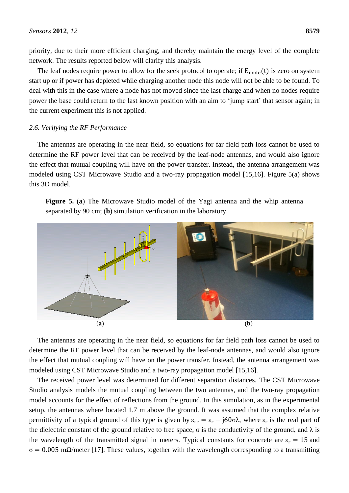priority, due to their more efficient charging, and thereby maintain the energy level of the complete network. The results reported below will clarify this analysis.

The leaf nodes require power to allow for the seek protocol to operate; if  $E_{node}(t)$  is zero on system start up or if power has depleted while charging another node this node will not be able to be found. To deal with this in the case where a node has not moved since the last charge and when no nodes require power the base could return to the last known position with an aim to 'jump start' that sensor again; in the current experiment this is not applied.

## *2.6. Verifying the RF Performance*

The antennas are operating in the near field, so equations for far field path loss cannot be used to determine the RF power level that can be received by the leaf-node antennas, and would also ignore the effect that mutual coupling will have on the power transfer. Instead, the antenna arrangement was modeled using CST Microwave Studio and a two-ray propagation model [\[15,](#page-15-14)[16\]](#page-15-15). Figure 5(a) shows this 3D model.

**Figure 5.** (**a**) The Microwave Studio model of the Yagi antenna and the whip antenna separated by 90 cm; (**b**) simulation verification in the laboratory.



The antennas are operating in the near field, so equations for far field path loss cannot be used to determine the RF power level that can be received by the leaf-node antennas, and would also ignore the effect that mutual coupling will have on the power transfer. Instead, the antenna arrangement was modeled using CST Microwave Studio and a two-ray propagation model [\[15,](#page-15-14)[16\]](#page-15-15).

The received power level was determined for different separation distances. The CST Microwave Studio analysis models the mutual coupling between the two antennas, and the two-ray propagation model accounts for the effect of reflections from the ground. In this simulation, as in the experimental setup, the antennas where located 1.7 m above the ground. It was assumed that the complex relative permittivity of a typical ground of this type is given by  $\varepsilon_{rc} = \varepsilon_r - j60\sigma\lambda$ , where  $\varepsilon_r$  is the real part of the dielectric constant of the ground relative to free space,  $\sigma$  is the conductivity of the ground, and  $\lambda$  is the wavelength of the transmitted signal in meters. Typical constants for concrete are  $\varepsilon_r = 15$  and  $\sigma = 0.005$  mΩ/meter [\[17\]](#page-15-16). These values, together with the wavelength corresponding to a transmitting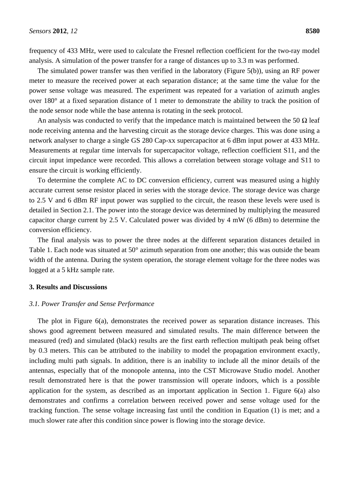frequency of 433 MHz, were used to calculate the Fresnel reflection coefficient for the two-ray model analysis. A simulation of the power transfer for a range of distances up to 3.3 m was performed.

The simulated power transfer was then verified in the laboratory (Figure 5(b)), using an RF power meter to measure the received power at each separation distance; at the same time the value for the power sense voltage was measured. The experiment was repeated for a variation of azimuth angles over 180° at a fixed separation distance of 1 meter to demonstrate the ability to track the position of the node sensor node while the base antenna is rotating in the seek protocol.

An analysis was conducted to verify that the impedance match is maintained between the 50  $\Omega$  leaf node receiving antenna and the harvesting circuit as the storage device charges. This was done using a network analyser to charge a single GS 280 Cap-xx supercapacitor at 6 dBm input power at 433 MHz. Measurements at regular time intervals for supercapacitor voltage, reflection coefficient S11, and the circuit input impedance were recorded. This allows a correlation between storage voltage and S11 to ensure the circuit is working efficiently.

To determine the complete AC to DC conversion efficiency, current was measured using a highly accurate current sense resistor placed in series with the storage device. The storage device was charge to 2.5 V and 6 dBm RF input power was supplied to the circuit, the reason these levels were used is detailed in Section 2.1. The power into the storage device was determined by multiplying the measured capacitor charge current by 2.5 V. Calculated power was divided by 4 mW (6 dBm) to determine the conversion efficiency.

The final analysis was to power the three nodes at the different separation distances detailed in Table 1. Each node was situated at 50 ° azimuth separation from one another; this was outside the beam width of the antenna. During the system operation, the storage element voltage for the three nodes was logged at a 5 kHz sample rate.

## **3. Results and Discussions**

## *3.1. Power Transfer and Sense Performance*

The plot in Figure 6(a), demonstrates the received power as separation distance increases. This shows good agreement between measured and simulated results. The main difference between the measured (red) and simulated (black) results are the first earth reflection multipath peak being offset by 0.3 meters. This can be attributed to the inability to model the propagation environment exactly, including multi path signals. In addition, there is an inability to include all the minor details of the antennas, especially that of the monopole antenna, into the CST Microwave Studio model. Another result demonstrated here is that the power transmission will operate indoors, which is a possible application for the system, as described as an important application in Section 1. Figure 6(a) also demonstrates and confirms a correlation between received power and sense voltage used for the tracking function. The sense voltage increasing fast until the condition in Equation (1) is met; and a much slower rate after this condition since power is flowing into the storage device.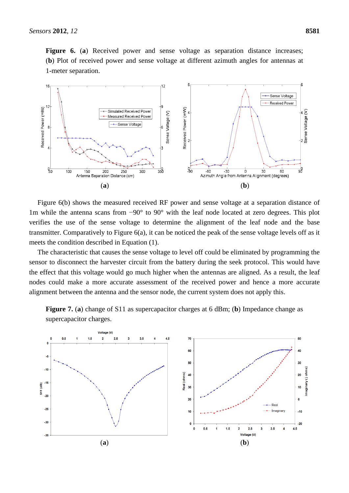**Figure 6.** (a) Received power and sense voltage as separation distance increases; (**b**) Plot of received power and sense voltage at different azimuth angles for antennas at 1-meter separation.



Figure 6(b) shows the measured received RF power and sense voltage at a separation distance of 1m while the antenna scans from −90° to 90° with the leaf node located at zero degrees. This plot verifies the use of the sense voltage to determine the alignment of the leaf node and the base transmitter. Comparatively to Figure 6(a), it can be noticed the peak of the sense voltage levels off as it meets the condition described in Equation (1).

The characteristic that causes the sense voltage to level off could be eliminated by programming the sensor to disconnect the harvester circuit from the battery during the seek protocol. This would have the effect that this voltage would go much higher when the antennas are aligned. As a result, the leaf nodes could make a more accurate assessment of the received power and hence a more accurate alignment between the antenna and the sensor node, the current system does not apply this.



**Figure 7.** (**a**) change of S11 as supercapacitor charges at 6 dBm; (**b**) Impedance change as supercapacitor charges.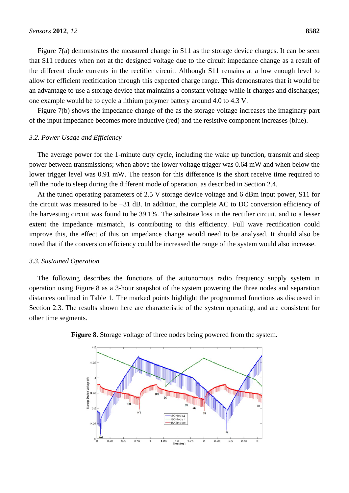Figure 7(a) demonstrates the measured change in S11 as the storage device charges. It can be seen that S11 reduces when not at the designed voltage due to the circuit impedance change as a result of the different diode currents in the rectifier circuit. Although S11 remains at a low enough level to allow for efficient rectification through this expected charge range. This demonstrates that it would be an advantage to use a storage device that maintains a constant voltage while it charges and discharges; one example would be to cycle a lithium polymer battery around 4.0 to 4.3 V.

Figure 7(b) shows the impedance change of the as the storage voltage increases the imaginary part of the input impedance becomes more inductive (red) and the resistive component increases (blue).

#### *3.2. Power Usage and Efficiency*

The average power for the 1-minute duty cycle, including the wake up function, transmit and sleep power between transmissions; when above the lower voltage trigger was 0.64 mW and when below the lower trigger level was 0.91 mW. The reason for this difference is the short receive time required to tell the node to sleep during the different mode of operation, as described in Section 2.4.

At the tuned operating parameters of 2.5 V storage device voltage and 6 dBm input power, S11 for the circuit was measured to be −31 dB. In addition, the complete AC to DC conversion efficiency of the harvesting circuit was found to be 39.1%. The substrate loss in the rectifier circuit, and to a lesser extent the impedance mismatch, is contributing to this efficiency. Full wave rectification could improve this, the effect of this on impedance change would need to be analysed. It should also be noted that if the conversion efficiency could be increased the range of the system would also increase.

#### *3.3. Sustained Operation*

The following describes the functions of the autonomous radio frequency supply system in operation using Figure 8 as a 3-hour snapshot of the system powering the three nodes and separation distances outlined in Table 1. The marked points highlight the programmed functions as discussed in Section 2.3. The results shown here are characteristic of the system operating, and are consistent for other time segments.



**Figure 8.** Storage voltage of three nodes being powered from the system.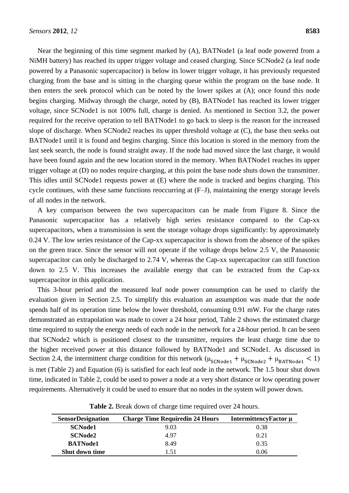Near the beginning of this time segment marked by (A), BATNode1 (a leaf node powered from a NiMH battery) has reached its upper trigger voltage and ceased charging. Since SCNode2 (a leaf node powered by a Panasonic supercapacitor) is below its lower trigger voltage, it has previously requested charging from the base and is sitting in the charging queue within the program on the base node. It then enters the seek protocol which can be noted by the lower spikes at (A); once found this node begins charging. Midway through the charge, noted by (B), BATNode1 has reached its lower trigger voltage, since SCNode1 is not 100% full, charge is denied. As mentioned in Section 3.2, the power required for the receive operation to tell BATNode1 to go back to sleep is the reason for the increased slope of discharge. When SCNode2 reaches its upper threshold voltage at (C), the base then seeks out BATNode1 until it is found and begins charging. Since this location is stored in the memory from the last seek search, the node is found straight away. If the node had moved since the last charge, it would have been found again and the new location stored in the memory. When BATNode1 reaches its upper trigger voltage at (D) no nodes require charging, at this point the base node shuts down the transmitter. This idles until SCNode1 requests power at (E) where the node is tracked and begins charging. This cycle continues, with these same functions reoccurring at (F–J), maintaining the energy storage levels of all nodes in the network.

A key comparison between the two supercapacitors can be made from Figure 8. Since the Panasonic supercapacitor has a relatively high series resistance compared to the Cap-xx supercapacitors, when a transmission is sent the storage voltage drops significantly: by approximately 0.24 V. The low series resistance of the Cap-xx supercapacitor is shown from the absence of the spikes on the green trace. Since the sensor will not operate if the voltage drops below 2.5 V, the Panasonic supercapacitor can only be discharged to 2.74 V, whereas the Cap-xx supercapacitor can still function down to 2.5 V. This increases the available energy that can be extracted from the Cap-xx supercapacitor in this application.

This 3-hour period and the measured leaf node power consumption can be used to clarify the evaluation given in Section 2.5. To simplify this evaluation an assumption was made that the node spends half of its operation time below the lower threshold, consuming 0.91 mW. For the charge rates demonstrated an extrapolation was made to cover a 24 hour period, Table 2 shows the estimated charge time required to supply the energy needs of each node in the network for a 24-hour period. It can be seen that SCNode2 which is positioned closest to the transmitter, requires the least charge time due to the higher received power at this distance followed by BATNode1 and SCNode1. As discussed in Section 2.4, the intermittent charge condition for this network  $(\mu_{\text{SCNode1}} + \mu_{\text{SCNode2}} + \mu_{\text{BATNode1}} < 1)$ is met (Table 2) and Equation (6) is satisfied for each leaf node in the network. The 1.5 hour shut down time, indicated in Table 2, could be used to power a node at a very short distance or low operating power requirements. Alternatively it could be used to ensure that no nodes in the system will power down.

| <b>SensorDesignation</b> | <b>Charge Time Requiredin 24 Hours</b> | IntermittencyFactor µ |
|--------------------------|----------------------------------------|-----------------------|
| <b>SCNode1</b>           | 9.03                                   | 0.38                  |
| <b>SCNode2</b>           | 4.97                                   | 0.21                  |
| <b>BATNode1</b>          | 8.49                                   | 0.35                  |
| <b>Shut down time</b>    | 1.51                                   | 0.06                  |

**Table 2.** Break down of charge time required over 24 hours.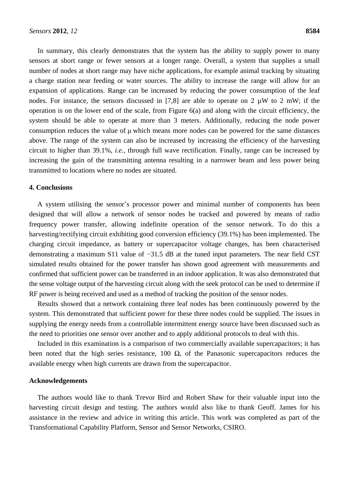In summary, this clearly demonstrates that the system has the ability to supply power to many sensors at short range or fewer sensors at a longer range. Overall, a system that supplies a small number of nodes at short range may have niche applications, for example animal tracking by situating a charge station near feeding or water sources. The ability to increase the range will allow for an expansion of applications. Range can be increased by reducing the power consumption of the leaf nodes. For instance, the sensors discussed in [\[7](#page-15-6)[,8\]](#page-15-7) are able to operate on 2  $\mu$ W to 2 mW; if the operation is on the lower end of the scale, from Figure 6(a) and along with the circuit efficiency, the system should be able to operate at more than 3 meters. Additionally, reducing the node power consumption reduces the value of  $\mu$  which means more nodes can be powered for the same distances above. The range of the system can also be increased by increasing the efficiency of the harvesting circuit to higher than 39.1%, *i.e.*, through full wave rectification. Finally, range can be increased by increasing the gain of the transmitting antenna resulting in a narrower beam and less power being transmitted to locations where no nodes are situated.

#### **4. Conclusions**

A system utilising the sensor's processor power and minimal number of components has been designed that will allow a network of sensor nodes be tracked and powered by means of radio frequency power transfer, allowing indefinite operation of the sensor network. To do this a harvesting/rectifying circuit exhibiting good conversion efficiency (39.1%) has been implemented. The charging circuit impedance, as battery or supercapacitor voltage changes, has been characterised demonstrating a maximum S11 value of −31.5 dB at the tuned input parameters. The near field CST simulated results obtained for the power transfer has shown good agreement with measurements and confirmed that sufficient power can be transferred in an indoor application. It was also demonstrated that the sense voltage output of the harvesting circuit along with the seek protocol can be used to determine if RF power is being received and used as a method of tracking the position of the sensor nodes.

Results showed that a network containing three leaf nodes has been continuously powered by the system. This demonstrated that sufficient power for these three nodes could be supplied. The issues in supplying the energy needs from a controllable intermittent energy source have been discussed such as the need to priorities one sensor over another and to apply additional protocols to deal with this.

Included in this examination is a comparison of two commercially available supercapacitors; it has been noted that the high series resistance, 100  $\Omega$ , of the Panasonic supercapacitors reduces the available energy when high currents are drawn from the supercapacitor.

## **Acknowledgements**

The authors would like to thank Trevor Bird and Robert Shaw for their valuable input into the harvesting circuit design and testing. The authors would also like to thank Geoff. James for his assistance in the review and advice in writing this article. This work was completed as part of the Transformational Capability Platform, Sensor and Sensor Networks, CSIRO.